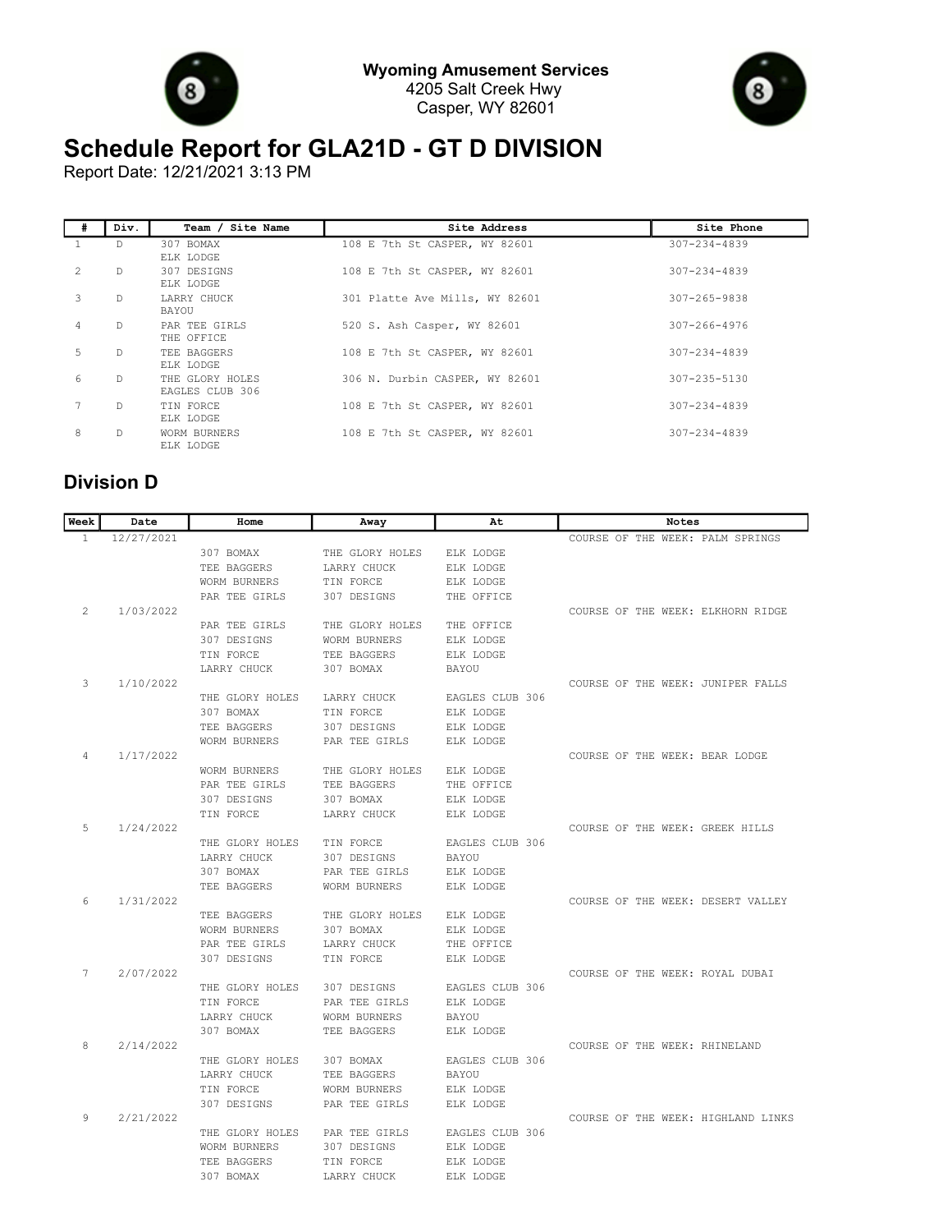



## **Schedule Report for GLA21D - GT D DIVISION**

Report Date: 12/21/2021 3:13 PM

| #             | Div.         | Team / Site Name                   | Site Address                   | Site Phone         |
|---------------|--------------|------------------------------------|--------------------------------|--------------------|
|               | D            | 307 BOMAX<br>ELK LODGE             | 108 E 7th St CASPER, WY 82601  | $307 - 234 - 4839$ |
| $\mathcal{L}$ | D            | 307 DESIGNS<br>ELK LODGE           | 108 E 7th St CASPER, WY 82601  | $307 - 234 - 4839$ |
| 3             | $\mathbb{D}$ | LARRY CHUCK<br>BAYOU               | 301 Platte Ave Mills, WY 82601 | $307 - 265 - 9838$ |
| 4             | $\mathbb{D}$ | PAR TEE GIRLS<br>THE OFFICE        | 520 S. Ash Casper, WY 82601    | $307 - 266 - 4976$ |
| 5.            | D.           | TEE BAGGERS<br>ELK LODGE           | 108 E 7th St CASPER, WY 82601  | $307 - 234 - 4839$ |
| 6             | $\mathbb{D}$ | THE GLORY HOLES<br>EAGLES CLUB 306 | 306 N. Durbin CASPER, WY 82601 | 307-235-5130       |
|               | $\mathbb{D}$ | TIN FORCE<br>ELK LODGE             | 108 E 7th St CASPER, WY 82601  | $307 - 234 - 4839$ |
| 8             | D.           | WORM BURNERS<br>ELK LODGE          | 108 E 7th St CASPER, WY 82601  | $307 - 234 - 4839$ |

## **Division D**

| Week         | Date       | Home                | Away                | At              | Notes                              |
|--------------|------------|---------------------|---------------------|-----------------|------------------------------------|
| $\mathbf{1}$ | 12/27/2021 |                     |                     |                 | COURSE OF THE WEEK: PALM SPRINGS   |
|              |            | 307 BOMAX           | THE GLORY HOLES     | ELK LODGE       |                                    |
|              |            | TEE BAGGERS         | LARRY CHUCK         | ELK LODGE       |                                    |
|              |            | WORM BURNERS        | TIN FORCE           | ELK LODGE       |                                    |
|              |            | PAR TEE GIRLS       | 307 DESIGNS         | THE OFFICE      |                                    |
| 2            | 1/03/2022  |                     |                     |                 | COURSE OF THE WEEK: ELKHORN RIDGE  |
|              |            | PAR TEE GIRLS       | THE GLORY HOLES     | THE OFFICE      |                                    |
|              |            | 307 DESIGNS         | WORM BURNERS        | ELK LODGE       |                                    |
|              |            | TIN FORCE           | TEE BAGGERS         | ELK LODGE       |                                    |
|              |            | LARRY CHUCK         | 307 BOMAX           | BAYOU           |                                    |
| 3            | 1/10/2022  |                     |                     |                 | COURSE OF THE WEEK: JUNIPER FALLS  |
|              |            | THE GLORY HOLES     | LARRY CHUCK         | EAGLES CLUB 306 |                                    |
|              |            | 307 BOMAX           | TIN FORCE           | ELK LODGE       |                                    |
|              |            | TEE BAGGERS         | 307 DESIGNS         | ELK LODGE       |                                    |
|              |            | WORM BURNERS        | PAR TEE GIRLS       | ELK LODGE       |                                    |
| 4            | 1/17/2022  |                     |                     |                 | COURSE OF THE WEEK: BEAR LODGE     |
|              |            | WORM BURNERS        | THE GLORY HOLES     | ELK LODGE       |                                    |
|              |            | PAR TEE GIRLS       | TEE BAGGERS         | THE OFFICE      |                                    |
|              |            | 307 DESIGNS         | 307 BOMAX           | ELK LODGE       |                                    |
| 5            | 1/24/2022  | TIN FORCE           | LARRY CHUCK         | ELK LODGE       |                                    |
|              |            | THE GLORY HOLES     | TIN FORCE           | EAGLES CLUB 306 | COURSE OF THE WEEK: GREEK HILLS    |
|              |            | LARRY CHUCK         | 307 DESIGNS         | <b>BAYOU</b>    |                                    |
|              |            | 307 BOMAX           | PAR TEE GIRLS       | ELK LODGE       |                                    |
|              |            | TEE BAGGERS         | <b>WORM BURNERS</b> | ELK LODGE       |                                    |
| 6            | 1/31/2022  |                     |                     |                 | COURSE OF THE WEEK: DESERT VALLEY  |
|              |            | TEE BAGGERS         | THE GLORY HOLES     | ELK LODGE       |                                    |
|              |            | WORM BURNERS        | 307 BOMAX           | ELK LODGE       |                                    |
|              |            | PAR TEE GIRLS       | LARRY CHUCK         | THE OFFICE      |                                    |
|              |            | 307 DESIGNS         | TIN FORCE           | ELK LODGE       |                                    |
| 7            | 2/07/2022  |                     |                     |                 | COURSE OF THE WEEK: ROYAL DUBAI    |
|              |            | THE GLORY HOLES     | 307 DESIGNS         | EAGLES CLUB 306 |                                    |
|              |            | TIN FORCE           | PAR TEE GIRLS       | ELK LODGE       |                                    |
|              |            | LARRY CHUCK         | WORM BURNERS        | BAYOU           |                                    |
|              |            | 307 BOMAX           | TEE BAGGERS         | ELK LODGE       |                                    |
| 8            | 2/14/2022  |                     |                     |                 | COURSE OF THE WEEK: RHINELAND      |
|              |            | THE GLORY HOLES     | 307 BOMAX           | EAGLES CLUB 306 |                                    |
|              |            | LARRY CHUCK         | TEE BAGGERS         | <b>BAYOU</b>    |                                    |
|              |            | TIN FORCE           | WORM BURNERS        | ELK LODGE       |                                    |
|              |            | 307 DESIGNS         | PAR TEE GIRLS       | ELK LODGE       |                                    |
| 9            | 2/21/2022  |                     |                     |                 | COURSE OF THE WEEK: HIGHLAND LINKS |
|              |            | THE GLORY HOLES     | PAR TEE GIRLS       | EAGLES CLUB 306 |                                    |
|              |            | <b>WORM BURNERS</b> | 307 DESIGNS         | ELK LODGE       |                                    |
|              |            | TEE BAGGERS         | TIN FORCE           | ELK LODGE       |                                    |
|              |            | 307 BOMAX           | LARRY CHUCK         | ELK LODGE       |                                    |